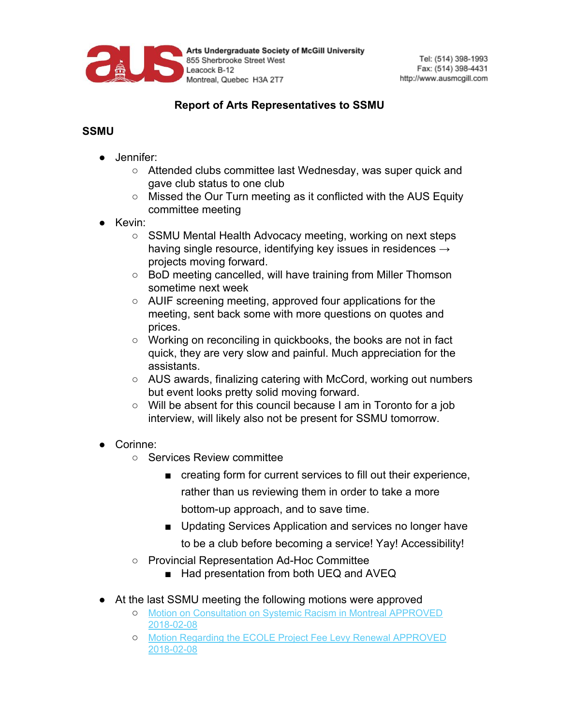

Arts Undergraduate Society of McGill University 855 Sherbrooke Street West Leacock B-12 Montreal, Quebec H3A 2T7

## **Report of Arts Representatives to SSMU**

## **SSMU**

- Jennifer:
	- Attended clubs committee last Wednesday, was super quick and gave club status to one club
	- Missed the Our Turn meeting as it conflicted with the AUS Equity committee meeting
- Kevin:
	- SSMU Mental Health Advocacy meeting, working on next steps having single resource, identifying key issues in residences  $\rightarrow$ projects moving forward.
	- BoD meeting cancelled, will have training from Miller Thomson sometime next week
	- AUIF screening meeting, approved four applications for the meeting, sent back some with more questions on quotes and prices.
	- Working on reconciling in quickbooks, the books are not in fact quick, they are very slow and painful. Much appreciation for the assistants.
	- AUS awards, finalizing catering with McCord, working out numbers but event looks pretty solid moving forward.
	- Will be absent for this council because I am in Toronto for a job interview, will likely also not be present for SSMU tomorrow.
- Corinne:
	- Services Review committee
		- creating form for current services to fill out their experience, rather than us reviewing them in order to take a more bottom-up approach, and to save time.
		- Updating Services Application and services no longer have to be a club before becoming a service! Yay! Accessibility!
	- Provincial Representation Ad-Hoc Committee
		- Had presentation from both UEQ and AVEQ
- At the last SSMU meeting the following motions were approved
	- [Motion on Consultation on Systemic Racism in Montreal APPROVED](http://ssmu.ca/wp-content/uploads/2018/02/Motion-on-Consultation-on-Systemic-Racism-in-Montreal-APPROVED-2018-02-08.pdf?x26516) [2018-02-08](http://ssmu.ca/wp-content/uploads/2018/02/Motion-on-Consultation-on-Systemic-Racism-in-Montreal-APPROVED-2018-02-08.pdf?x26516)
	- [Motion Regarding the ECOLE Project Fee Levy Renewal APPROVED](http://ssmu.ca/wp-content/uploads/2018/02/Motion-Regarding-the-ECOLE-Project-Fee-Levy-Renewal-APPROVED-2018-02-08.pdf?x26516) [2018-02-08](http://ssmu.ca/wp-content/uploads/2018/02/Motion-Regarding-the-ECOLE-Project-Fee-Levy-Renewal-APPROVED-2018-02-08.pdf?x26516)